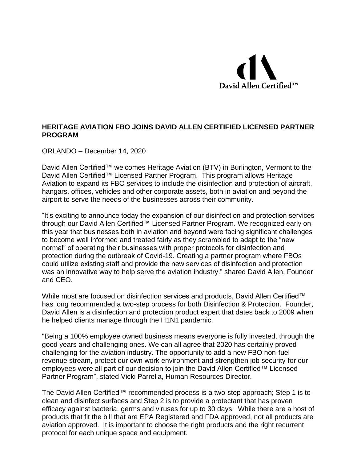

## **HERITAGE AVIATION FBO JOINS DAVID ALLEN CERTIFIED LICENSED PARTNER PROGRAM**

ORLANDO – December 14, 2020

David Allen Certified™ welcomes Heritage Aviation (BTV) in Burlington, Vermont to the David Allen Certified™ Licensed Partner Program. This program allows Heritage Aviation to expand its FBO services to include the disinfection and protection of aircraft, hangars, offices, vehicles and other corporate assets, both in aviation and beyond the airport to serve the needs of the businesses across their community.

"It's exciting to announce today the expansion of our disinfection and protection services through our David Allen Certified™ Licensed Partner Program. We recognized early on this year that businesses both in aviation and beyond were facing significant challenges to become well informed and treated fairly as they scrambled to adapt to the "new normal" of operating their businesses with proper protocols for disinfection and protection during the outbreak of Covid-19. Creating a partner program where FBOs could utilize existing staff and provide the new services of disinfection and protection was an innovative way to help serve the aviation industry." shared David Allen, Founder and CEO.

While most are focused on disinfection services and products, David Allen Certified™ has long recommended a two-step process for both Disinfection & Protection. Founder, David Allen is a disinfection and protection product expert that dates back to 2009 when he helped clients manage through the H1N1 pandemic.

"Being a 100% employee owned business means everyone is fully invested, through the good years and challenging ones. We can all agree that 2020 has certainly proved challenging for the aviation industry. The opportunity to add a new FBO non-fuel revenue stream, protect our own work environment and strengthen job security for our employees were all part of our decision to join the David Allen Certified™ Licensed Partner Program", stated Vicki Parrella, Human Resources Director.

The David Allen Certified™ recommended process is a two-step approach; Step 1 is to clean and disinfect surfaces and Step 2 is to provide a protectant that has proven efficacy against bacteria, germs and viruses for up to 30 days. While there are a host of products that fit the bill that are EPA Registered and FDA approved, not all products are aviation approved. It is important to choose the right products and the right recurrent protocol for each unique space and equipment.